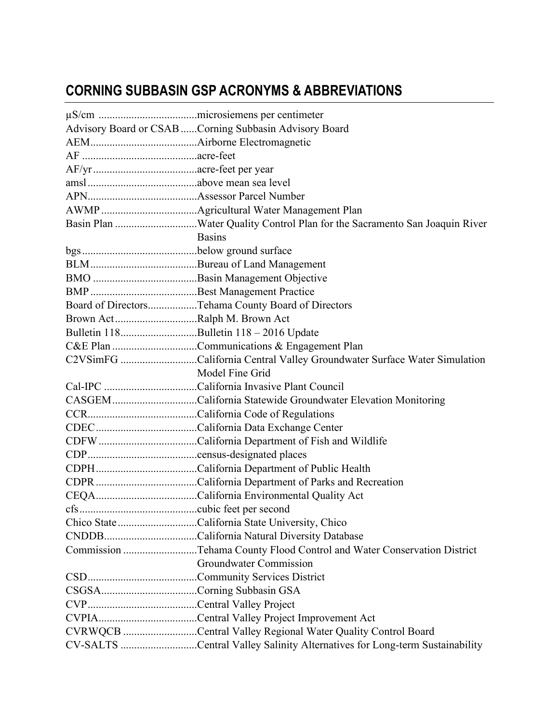## **CORNING SUBBASIN GSP ACRONYMS & ABBREVIATIONS**

|                                        | Advisory Board or CSAB Corning Subbasin Advisory Board                     |  |
|----------------------------------------|----------------------------------------------------------------------------|--|
|                                        |                                                                            |  |
|                                        |                                                                            |  |
|                                        |                                                                            |  |
|                                        |                                                                            |  |
|                                        |                                                                            |  |
|                                        |                                                                            |  |
|                                        | Basin Plan Water Quality Control Plan for the Sacramento San Joaquin River |  |
|                                        | <b>Basins</b>                                                              |  |
|                                        |                                                                            |  |
|                                        |                                                                            |  |
|                                        |                                                                            |  |
|                                        |                                                                            |  |
|                                        | Board of DirectorsTehama County Board of Directors                         |  |
| Brown ActRalph M. Brown Act            |                                                                            |  |
| Bulletin 118Bulletin 118 - 2016 Update |                                                                            |  |
|                                        | C&E Plan Communications & Engagement Plan                                  |  |
|                                        | C2VSimFG California Central Valley Groundwater Surface Water Simulation    |  |
|                                        | Model Fine Grid                                                            |  |
|                                        |                                                                            |  |
|                                        | CASGEM California Statewide Groundwater Elevation Monitoring               |  |
|                                        |                                                                            |  |
|                                        |                                                                            |  |
|                                        |                                                                            |  |
|                                        |                                                                            |  |
|                                        |                                                                            |  |
|                                        |                                                                            |  |
|                                        |                                                                            |  |
|                                        |                                                                            |  |
|                                        | Chico State California State University, Chico                             |  |
|                                        |                                                                            |  |
|                                        | Commission Tehama County Flood Control and Water Conservation District     |  |
|                                        | Groundwater Commission                                                     |  |
|                                        |                                                                            |  |
|                                        |                                                                            |  |
|                                        |                                                                            |  |
|                                        |                                                                            |  |
|                                        | CVRWQCB Central Valley Regional Water Quality Control Board                |  |
|                                        | CV-SALTS Central Valley Salinity Alternatives for Long-term Sustainability |  |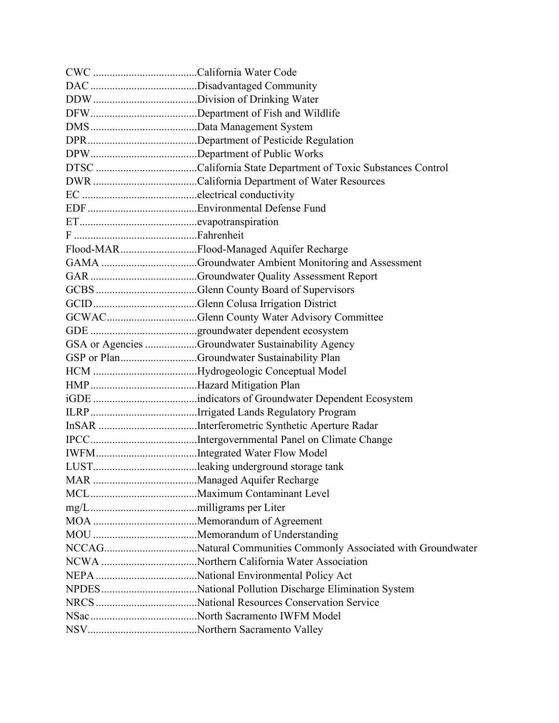| Flood-MARFlood-Managed Aquifer Recharge           |
|---------------------------------------------------|
|                                                   |
|                                                   |
|                                                   |
|                                                   |
|                                                   |
|                                                   |
| GSA or Agencies Groundwater Sustainability Agency |
| GSP or PlanGroundwater Sustainability Plan        |
|                                                   |
|                                                   |
|                                                   |
|                                                   |
|                                                   |
|                                                   |
|                                                   |
|                                                   |
|                                                   |
|                                                   |
|                                                   |
|                                                   |
|                                                   |
|                                                   |
|                                                   |
|                                                   |
|                                                   |
|                                                   |
|                                                   |
|                                                   |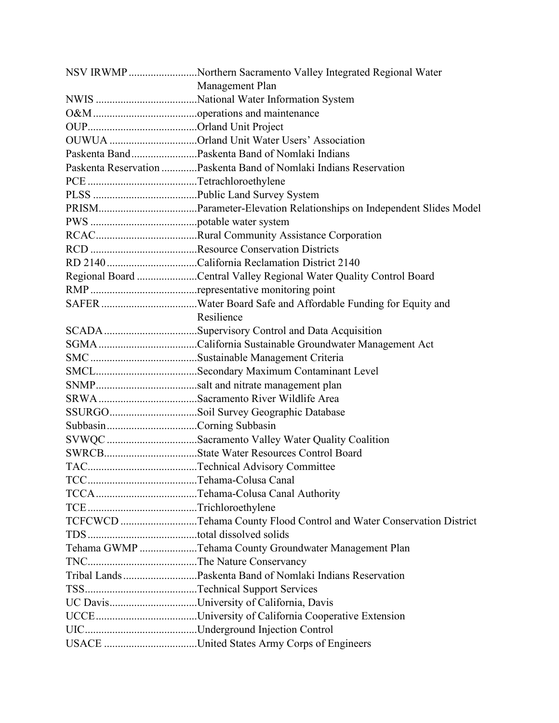| NSV IRWMP Northern Sacramento Valley Integrated Regional Water      |  |
|---------------------------------------------------------------------|--|
| Management Plan                                                     |  |
|                                                                     |  |
|                                                                     |  |
|                                                                     |  |
| OUWUA Orland Unit Water Users' Association                          |  |
| Paskenta BandPaskenta Band of Nomlaki Indians                       |  |
| Paskenta Reservation Paskenta Band of Nomlaki Indians Reservation   |  |
|                                                                     |  |
|                                                                     |  |
|                                                                     |  |
|                                                                     |  |
|                                                                     |  |
|                                                                     |  |
| RD 2140California Reclamation District 2140                         |  |
| Regional Board Central Valley Regional Water Quality Control Board  |  |
|                                                                     |  |
|                                                                     |  |
| Resilience                                                          |  |
|                                                                     |  |
|                                                                     |  |
|                                                                     |  |
|                                                                     |  |
|                                                                     |  |
| SRWASacramento River Wildlife Area                                  |  |
| SSURGOSoil Survey Geographic Database                               |  |
|                                                                     |  |
| SVWQC Sacramento Valley Water Quality Coalition                     |  |
|                                                                     |  |
|                                                                     |  |
|                                                                     |  |
|                                                                     |  |
|                                                                     |  |
| TCFCWCD Tehama County Flood Control and Water Conservation District |  |
|                                                                     |  |
| Tehama GWMP Tehama County Groundwater Management Plan               |  |
|                                                                     |  |
|                                                                     |  |
|                                                                     |  |
| UC DavisUniversity of California, Davis                             |  |
|                                                                     |  |
|                                                                     |  |
| USACE United States Army Corps of Engineers                         |  |
|                                                                     |  |